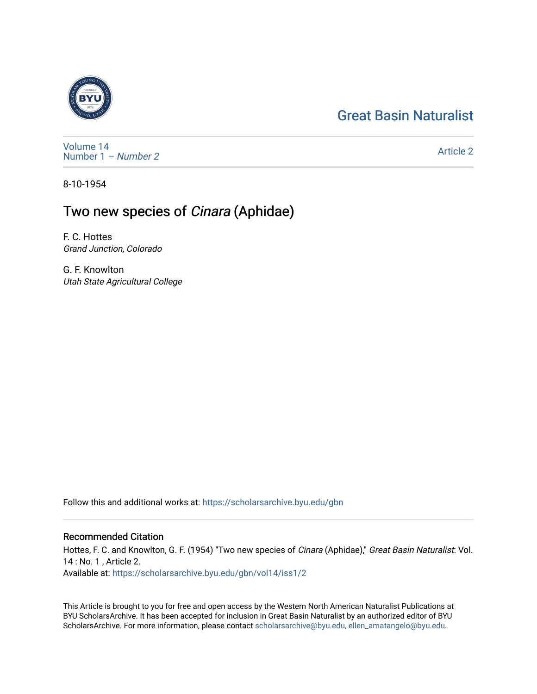## [Great Basin Naturalist](https://scholarsarchive.byu.edu/gbn)



[Volume 14](https://scholarsarchive.byu.edu/gbn/vol14) [Number 1](https://scholarsarchive.byu.edu/gbn/vol14/iss1) – Number 2

[Article 2](https://scholarsarchive.byu.edu/gbn/vol14/iss1/2) 

8-10-1954

## Two new species of Cinara (Aphidae)

F. C. Hottes Grand Junction, Colorado

G. F. Knowlton Utah State Agricultural College

Follow this and additional works at: [https://scholarsarchive.byu.edu/gbn](https://scholarsarchive.byu.edu/gbn?utm_source=scholarsarchive.byu.edu%2Fgbn%2Fvol14%2Fiss1%2F2&utm_medium=PDF&utm_campaign=PDFCoverPages) 

## Recommended Citation

Hottes, F. C. and Knowlton, G. F. (1954) "Two new species of Cinara (Aphidae)," Great Basin Naturalist: Vol. 14 : No. 1 , Article 2. Available at: [https://scholarsarchive.byu.edu/gbn/vol14/iss1/2](https://scholarsarchive.byu.edu/gbn/vol14/iss1/2?utm_source=scholarsarchive.byu.edu%2Fgbn%2Fvol14%2Fiss1%2F2&utm_medium=PDF&utm_campaign=PDFCoverPages)

This Article is brought to you for free and open access by the Western North American Naturalist Publications at BYU ScholarsArchive. It has been accepted for inclusion in Great Basin Naturalist by an authorized editor of BYU ScholarsArchive. For more information, please contact [scholarsarchive@byu.edu, ellen\\_amatangelo@byu.edu.](mailto:scholarsarchive@byu.edu,%20ellen_amatangelo@byu.edu)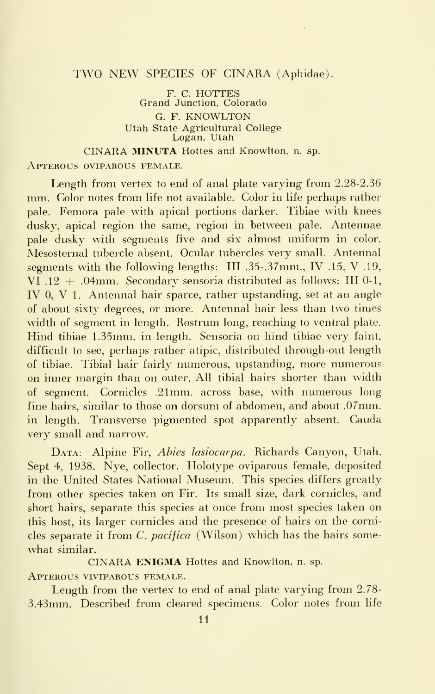## TWO NEW SPECIES OF CINARA (Aphidae).

F. C. HOTTES Grand Junction, Colorado G. F. KNOWLTON Utah State Agricultural College Logan, Utah

CINARA MINUTA Hottes and Knowlton, n. sp.

Apterous oviparous female.

Length from vertex to end of anal plate varying from 2.28-2.36 mm. Color notes from life not available. Color in life perhaps rather pale. Femora pale with apical portions darker. Tibiae with knees dusky, apical region the same, region in between pale. Antennae pale dusky with segments five and six almost uniform in color. Mesosternal tubercle absent. Ocular tubercles very small. Antennal segments with the following lengths: III .35-. 37mm., IV .15, V .19, VI .12  $+$  .04mm. Secondary sensoria distributed as follows: III 0-1, IV 0, V 1. Antennal hair sparce, rather upstanding, set at an angle of about sixty degrees, or more. Antennal hair less than two times width of segment in length. Rostrum long, reaching to ventral plate. Hind tibiae 1.35mm. in length. Sensoria on hind tibiae very faint, difficult to see, perhaps rather atipic, distributed through-out length of tibiae. Tibial hair fairly numerous, upstanding, more numerous on inner margin than on outer. All tibial hairs shorter than width of segment. Cornicles .21mm. across base, with numerous long fine hairs, similar to those on dorsum of abdomen, and about .07mm. in length. Transverse pigmented spot apparently absent. Cauda very small and narrow.

DATA: Alpine Fir, Abies lasiocarpa. Richards Canyon, Utah. Sept 4, 1938. Nye, collector. Holotype oviparous female, deposited in the United States National Museum. This species differs greatly from other species taken on Fir. Its small size, dark cornicles, and short hairs, separate this species at once from most species taken on this host, its larger cornicles and the presence of hairs on the cornicles separate it from C. pacifica (Wilson) which has the hairs somewhat similar.

CINARA ENIGMA Hottes and Knowlton, n. sp.

Apterous viviparous female.

Length from the vertex to end of anal plate varying from 2.78- 3.43mm. Described from cleared specimens. Color notes from life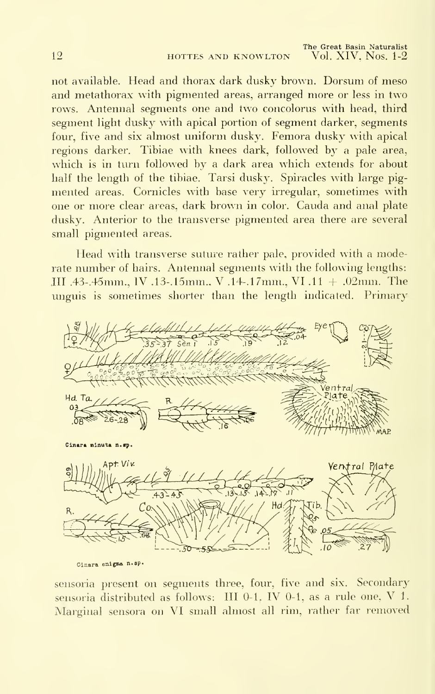not available. Head and thorax dark dusky brown. Dorsum of meso and metathorax with pigmented areas, arranged more or less in two rows. Antennal segments one and two concolorus with head, third segment light dusky with apical portion of segment darker, segments four, five and six almost uniform dusky. Femora dusky with apical regions darker. Tibiae with knees dark, followed by a pale area, which is in turn followed by a dark area which extends for about half the length of the tibiae. Tarsi dusky. Spiracles with large pigmented areas. Cornicles with base very irregular, sometimes with one or more clear areas, dark brown in color. Cauda and anal plate dusky. Anterior to the transverse pigmented area there are several small pigmented areas.

Head with transverse suture rather pale, provided with a moderate number of hairs. Antennal segments with the following lengths: HI .43-.45mm., IV .13-.15mm., V .14-.17mm., VI .11 + .02mm. The unguis is sometimes shorter than the length indicated. Primary



Cinara enigma n.sp.

sensoria present on segments three, four, five and six. Secondary sensoria distributed as follows: III 0-1, IV 0-1, as <sup>a</sup> rule one, V 1. Marginal sensora on VI small almost all rim, rather far removed